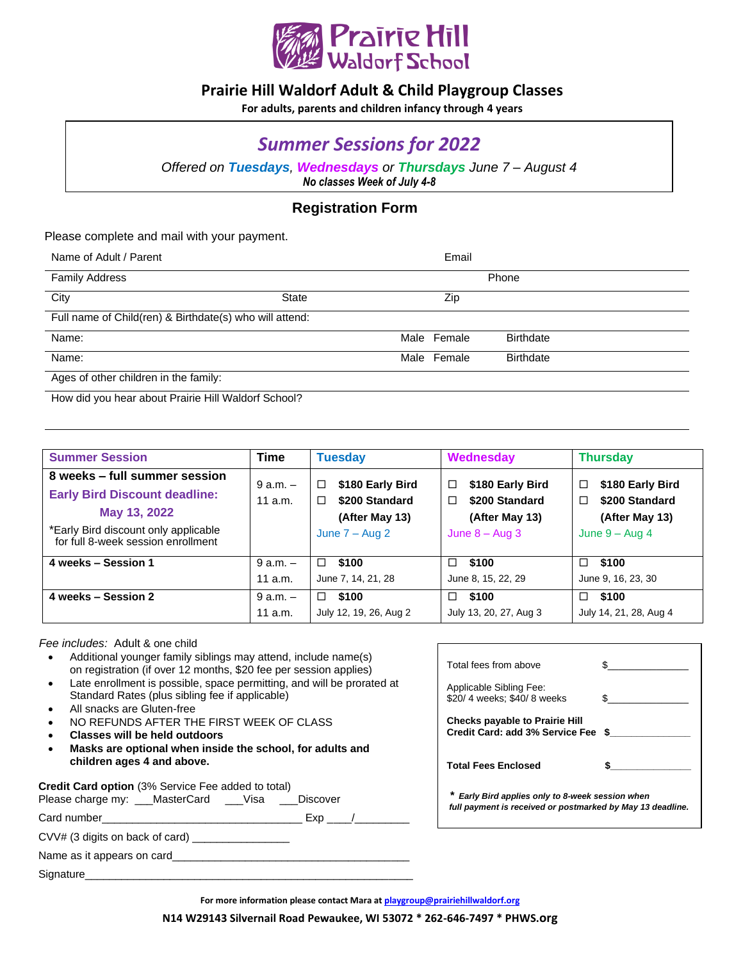

### **Prairie Hill Waldorf Adult & Child Playgroup Classes**

**For adults, parents and children infancy through 4 years**

# *Summer Sessions for 2022*

*Offered on Tuesdays, Wednesdays or Thursdays June 7 – August 4 No classes Week of July 4-8*

#### **Registration Form**

Please complete and mail with your payment.

| Name of Adult / Parent                                  |       | Email       |                  |  |  |
|---------------------------------------------------------|-------|-------------|------------------|--|--|
| <b>Family Address</b>                                   |       |             | Phone            |  |  |
| City                                                    | State | Zip         |                  |  |  |
| Full name of Child(ren) & Birthdate(s) who will attend: |       |             |                  |  |  |
| Name:                                                   |       | Male Female | <b>Birthdate</b> |  |  |
| Name:                                                   |       | Male Female | <b>Birthdate</b> |  |  |
| Ages of other children in the family:                   |       |             |                  |  |  |

How did you hear about Prairie Hill Waldorf School?

| <b>Summer Session</b>                                                                                                                                               | <b>Time</b>               | <b>Tuesday</b>                                                                          | Wednesday                                                                          | <b>Thursday</b>                                                                              |
|---------------------------------------------------------------------------------------------------------------------------------------------------------------------|---------------------------|-----------------------------------------------------------------------------------------|------------------------------------------------------------------------------------|----------------------------------------------------------------------------------------------|
| 8 weeks – full summer session<br><b>Early Bird Discount deadline:</b><br>May 13, 2022<br>*Early Bird discount only applicable<br>for full 8-week session enrollment | $9$ a.m. $-$<br>11 $a.m.$ | \$180 Early Bird<br>□<br>\$200 Standard<br>$\Box$<br>(After May 13)<br>June $7 - Aug 2$ | \$180 Early Bird<br>□<br>\$200 Standard<br>□<br>(After May 13)<br>June $8 -$ Aug 3 | \$180 Early Bird<br>$\Box$<br>\$200 Standard<br>$\Box$<br>(After May 13)<br>June $9 - Aug 4$ |
| 4 weeks - Session 1                                                                                                                                                 | $9 a.m. -$<br>11 $a.m.$   | \$100<br>□<br>June 7, 14, 21, 28                                                        | \$100<br>$\Box$<br>June 8, 15, 22, 29                                              | \$100<br>□<br>June 9, 16, 23, 30                                                             |
| 4 weeks - Session 2                                                                                                                                                 | $9$ a.m. $-$<br>11 $a.m.$ | \$100<br>□<br>July 12, 19, 26, Aug 2                                                    | \$100<br>□<br>July 13, 20, 27, Aug 3                                               | \$100<br>□<br>July 14, 21, 28, Aug 4                                                         |

 *Fee includes:* Adult & one child

- Additional younger family siblings may attend, include name(s) on registration (if over 12 months, \$20 fee per session applies)
- Late enrollment is possible, space permitting, and will be prorated at Standard Rates (plus sibling fee if applicable)
- All snacks are Gluten-free
- NO REFUNDS AFTER THE FIRST WEEK OF CLASS
- **Classes will be held outdoors**
- **Masks are optional when inside the school, for adults and children ages 4 and above.**

**Credit Card option** (3% Service Fee added to total)

Please charge my: \_\_\_MasterCard \_\_\_Visa \_\_\_Discover Card number\_\_\_\_\_\_\_\_\_\_\_\_\_\_\_\_\_\_\_\_\_\_\_\_\_\_\_\_\_\_\_\_\_ Exp \_\_\_\_/\_\_\_\_\_\_\_\_\_

CVV# (3 digits on back of card) \_\_\_\_\_\_\_\_\_\_\_\_\_\_\_\_

Name as it appears on card\_\_\_\_\_\_\_\_\_\_\_\_\_\_\_\_\_\_\_\_\_\_\_\_\_\_\_\_\_\_\_\_\_\_\_\_\_\_\_

Signature\_

| Total fees from above                                                                                        |    |  |  |  |
|--------------------------------------------------------------------------------------------------------------|----|--|--|--|
| Applicable Sibling Fee:<br>\$20/ 4 weeks; \$40/ 8 weeks                                                      |    |  |  |  |
| <b>Checks payable to Prairie Hill</b><br>Credit Card: add 3% Service Fee                                     | S. |  |  |  |
| <b>Total Fees Enclosed</b>                                                                                   |    |  |  |  |
| Early Bird applies only to 8-week session when<br>full payment is received or postmarked by May 13 deadline. |    |  |  |  |

**For more information please contact Mara at [playgroup@prairiehillwaldorf.org](mailto:playgroup@prairiehillwaldorf.org)**